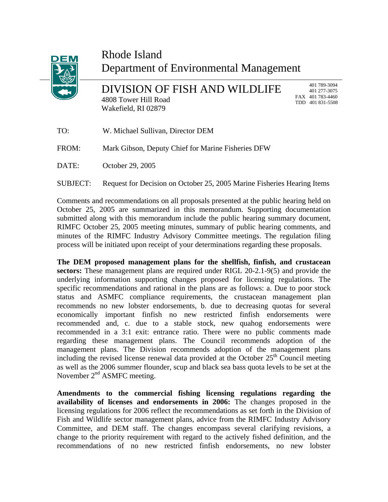

## Rhode Island Department of Environmental Management

DIVISION OF FISH AND WILDLIFE 4808 Tower Hill Road Wakefield, RI 02879

 401 789-3094 401 277-3075 FAX 401 783-4460 TDD 401 831-5508

| TO:      | W. Michael Sullivan, Director DEM                                       |
|----------|-------------------------------------------------------------------------|
| FROM:    | Mark Gibson, Deputy Chief for Marine Fisheries DFW                      |
| DATE:    | October 29, 2005                                                        |
| SUBJECT: | Request for Decision on October 25, 2005 Marine Fisheries Hearing Items |

Comments and recommendations on all proposals presented at the public hearing held on October 25, 2005 are summarized in this memorandum. Supporting documentation submitted along with this memorandum include the public hearing summary document, RIMFC October 25, 2005 meeting minutes, summary of public hearing comments, and minutes of the RIMFC Industry Advisory Committee meetings. The regulation filing process will be initiated upon receipt of your determinations regarding these proposals.

The DEM proposed management plans for the shellfish, finfish, and crustacean **sectors:** These management plans are required under RIGL 20-2.1-9(5) and provide the underlying information supporting changes proposed for licensing regulations. The specific recommendations and rational in the plans are as follows: a. Due to poor stock status and ASMFC compliance requirements, the crustacean management plan recommends no new lobster endorsements, b. due to decreasing quotas for several economically important finfish no new restricted finfish endorsements were recommended and, c. due to a stable stock, new quahog endorsements were recommended in a 3:1 exit: entrance ratio. There were no public comments made regarding these management plans. The Council recommends adoption of the management plans. The Division recommends adoption of the management plans including the revised license renewal data provided at the October  $25<sup>th</sup>$  Council meeting as well as the 2006 summer flounder, scup and black sea bass quota levels to be set at the November 2<sup>nd</sup> ASMFC meeting.

**mendments to the commercial fishing licensing regulations regarding the A availability of licenses and endorsements in 2006:** The changes proposed in the licensing regulations for 2006 reflect the recommendations as set forth in the Division of Fish and Wildlife sector management plans, advice from the RIMFC Industry Advisory Committee, and DEM staff. The changes encompass several clarifying revisions, a change to the priority requirement with regard to the actively fished definition, and the recommendations of no new restricted finfish endorsements, no new lobster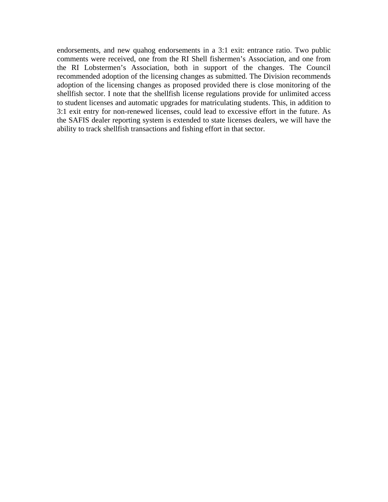endorsements, and new quahog endorsements in a 3:1 exit: entrance ratio. Two public comments were received, one from the RI Shell fishermen's Association, and one from the RI Lobstermen's Association, both in support of the changes. The Council recommended adoption of the licensing changes as submitted. The Division recommends adoption of the licensing changes as proposed provided there is close monitoring of the shellfish sector. I note that the shellfish license regulations provide for unlimited access to student licenses and automatic upgrades for matriculating students. This, in addition to 3:1 exit entry for non-renewed licenses, could lead to excessive effort in the future. As the SAFIS dealer reporting system is extended to state licenses dealers, we will have the ability to track shellfish transactions and fishing effort in that sector.